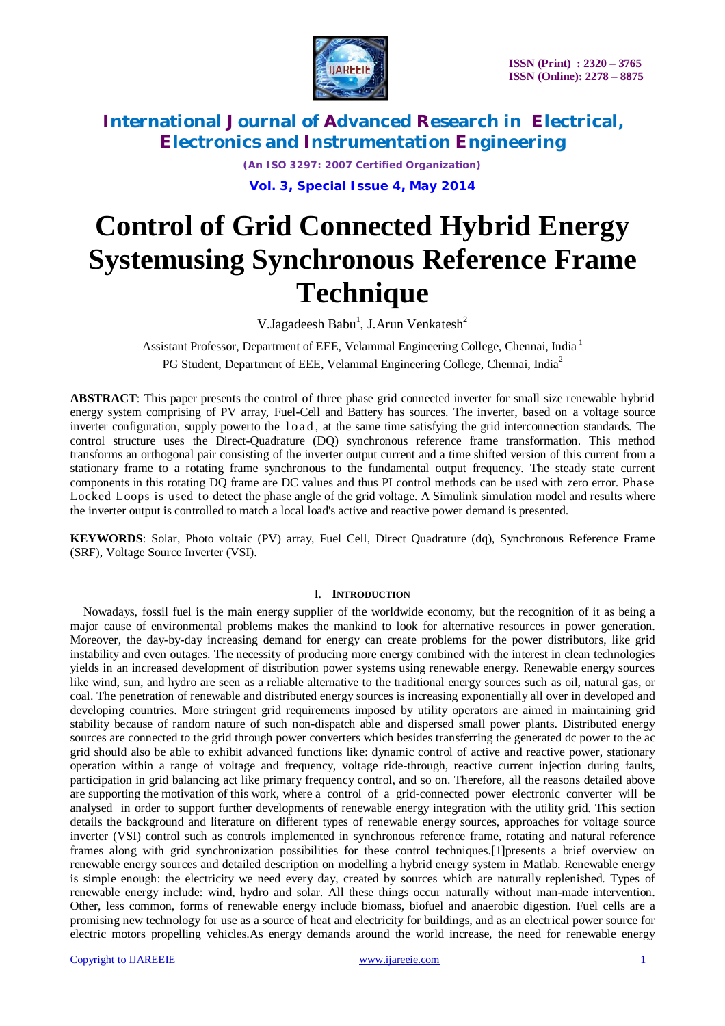

*(An ISO 3297: 2007 Certified Organization)*

**Vol. 3, Special Issue 4, May 2014**

# **Control of Grid Connected Hybrid Energy Systemusing Synchronous Reference Frame Technique**

V.Jagadeesh Babu $^1$ , J.Arun Venkatesh $^2$ 

Assistant Professor, Department of EEE, Velammal Engineering College, Chennai, India <sup>1</sup> PG Student, Department of EEE, Velammal Engineering College, Chennai, India<sup>2</sup>

**ABSTRACT**: This paper presents the control of three phase grid connected inverter for small size renewable hybrid energy system comprising of PV array, Fuel-Cell and Battery has sources. The inverter, based on a voltage source inverter configuration, supply powerto the load, at the same time satisfying the grid interconnection standards. The control structure uses the Direct-Quadrature (DQ) synchronous reference frame transformation. This method transforms an orthogonal pair consisting of the inverter output current and a time shifted version of this current from a stationary frame to a rotating frame synchronous to the fundamental output frequency. The steady state current components in this rotating DQ frame are DC values and thus PI control methods can be used with zero error. Phase Locked Loops is used to detect the phase angle of the grid voltage. A Simulink simulation model and results where the inverter output is controlled to match a local load's active and reactive power demand is presented.

**KEYWORDS**: Solar, Photo voltaic (PV) array, Fuel Cell, Direct Quadrature (dq), Synchronous Reference Frame (SRF), Voltage Source Inverter (VSI).

### I. **INTRODUCTION**

Nowadays, fossil fuel is the main energy supplier of the worldwide economy, but the recognition of it as being a major cause of environmental problems makes the mankind to look for alternative resources in power generation. Moreover, the day-by-day increasing demand for energy can create problems for the power distributors, like grid instability and even outages. The necessity of producing more energy combined with the interest in clean technologies yields in an increased development of distribution power systems using renewable energy. Renewable energy sources like wind, sun, and hydro are seen as a reliable alternative to the traditional energy sources such as oil, natural gas, or coal. The penetration of renewable and distributed energy sources is increasing exponentially all over in developed and developing countries. More stringent grid requirements imposed by utility operators are aimed in maintaining grid stability because of random nature of such non-dispatch able and dispersed small power plants. Distributed energy sources are connected to the grid through power converters which besides transferring the generated dc power to the ac grid should also be able to exhibit advanced functions like: dynamic control of active and reactive power, stationary operation within a range of voltage and frequency, voltage ride-through, reactive current injection during faults, participation in grid balancing act like primary frequency control, and so on. Therefore, all the reasons detailed above are supporting the motivation of this work, where a control of a grid-connected power electronic converter will be analysed in order to support further developments of renewable energy integration with the utility grid. This section details the background and literature on different types of renewable energy sources, approaches for voltage source inverter (VSI) control such as controls implemented in synchronous reference frame, rotating and natural reference frames along with grid synchronization possibilities for these control techniques.[1]presents a brief overview on renewable energy sources and detailed description on modelling a hybrid energy system in Matlab. Renewable energy is simple enough: the electricity we need every day, created by sources which are naturally replenished. Types of renewable energy include: wind, hydro and solar. All these things occur naturally without man-made intervention. Other, less common, forms of renewable energy include biomass, biofuel and anaerobic digestion. Fuel cells are a promising new technology for use as a source of heat and electricity for buildings, and as an electrical power source for electric motors propelling vehicles.As energy demands around the world increase, the need for renewable energy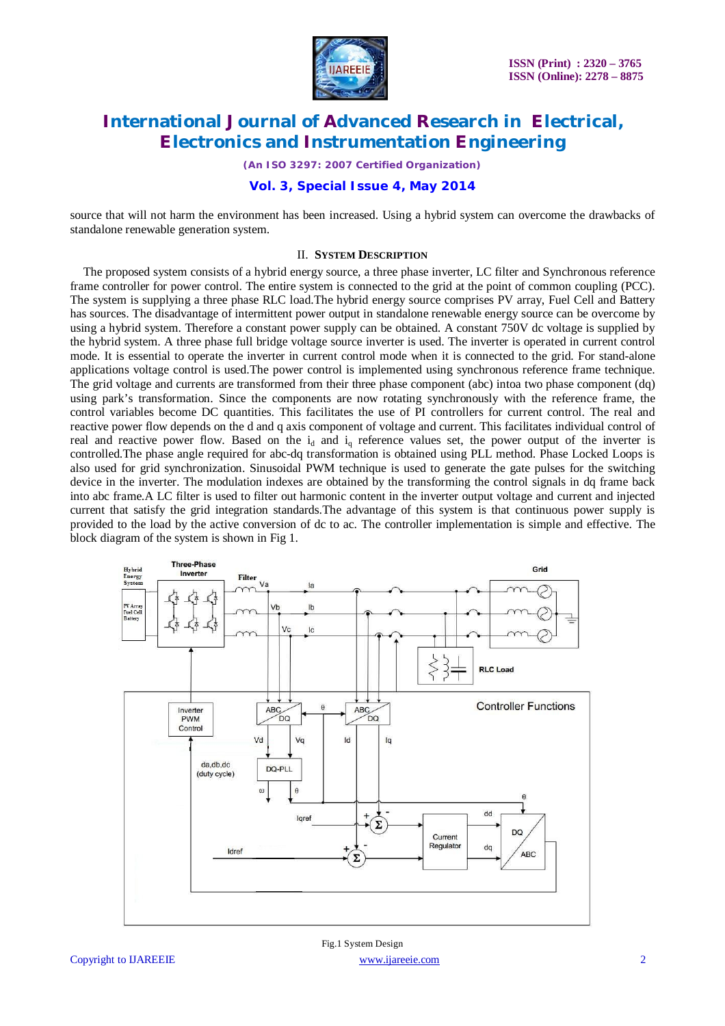

*(An ISO 3297: 2007 Certified Organization)*

### **Vol. 3, Special Issue 4, May 2014**

source that will not harm the environment has been increased. Using a hybrid system can overcome the drawbacks of standalone renewable generation system.

### II. **SYSTEM DESCRIPTION**

The proposed system consists of a hybrid energy source, a three phase inverter, LC filter and Synchronous reference frame controller for power control. The entire system is connected to the grid at the point of common coupling (PCC). The system is supplying a three phase RLC load.The hybrid energy source comprises PV array, Fuel Cell and Battery has sources. The disadvantage of intermittent power output in standalone renewable energy source can be overcome by using a hybrid system. Therefore a constant power supply can be obtained. A constant 750V dc voltage is supplied by the hybrid system. A three phase full bridge voltage source inverter is used. The inverter is operated in current control mode. It is essential to operate the inverter in current control mode when it is connected to the grid. For stand-alone applications voltage control is used.The power control is implemented using synchronous reference frame technique. The grid voltage and currents are transformed from their three phase component (abc) intoa two phase component (dq) using park's transformation. Since the components are now rotating synchronously with the reference frame, the control variables become DC quantities. This facilitates the use of PI controllers for current control. The real and reactive power flow depends on the d and q axis component of voltage and current. This facilitates individual control of real and reactive power flow. Based on the  $i_d$  and  $i_q$  reference values set, the power output of the inverter is controlled.The phase angle required for abc-dq transformation is obtained using PLL method. Phase Locked Loops is also used for grid synchronization. Sinusoidal PWM technique is used to generate the gate pulses for the switching device in the inverter. The modulation indexes are obtained by the transforming the control signals in dq frame back into abc frame.A LC filter is used to filter out harmonic content in the inverter output voltage and current and injected current that satisfy the grid integration standards.The advantage of this system is that continuous power supply is provided to the load by the active conversion of dc to ac. The controller implementation is simple and effective. The block diagram of the system is shown in Fig 1.

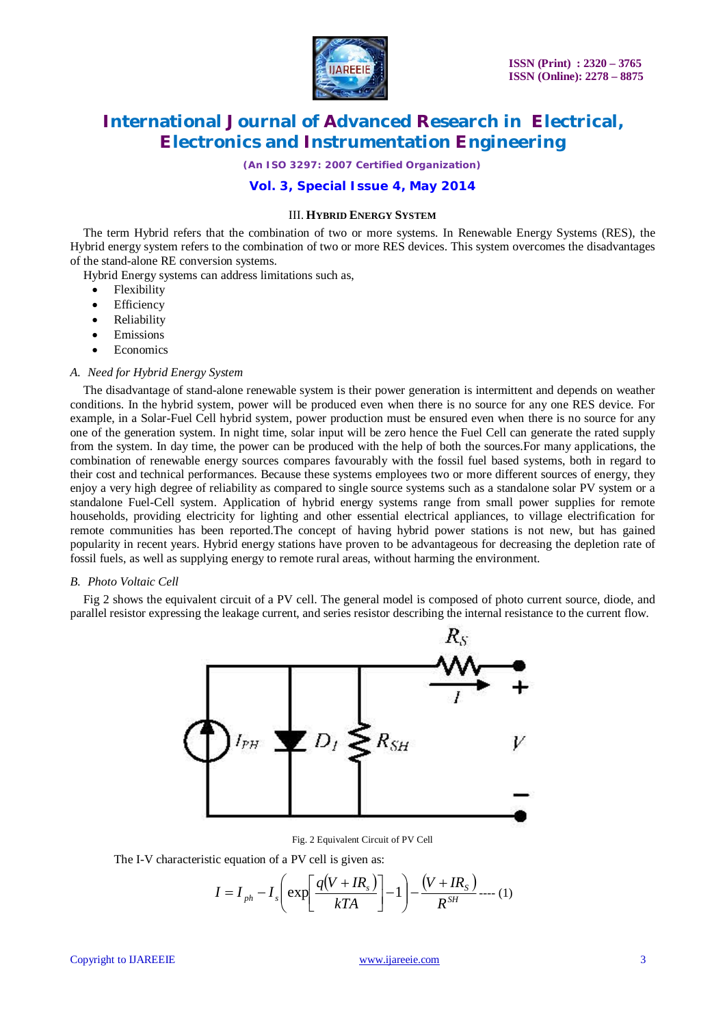

*(An ISO 3297: 2007 Certified Organization)*

### **Vol. 3, Special Issue 4, May 2014**

### III. **HYBRID ENERGY SYSTEM**

The term Hybrid refers that the combination of two or more systems. In Renewable Energy Systems (RES), the Hybrid energy system refers to the combination of two or more RES devices. This system overcomes the disadvantages of the stand-alone RE conversion systems.

Hybrid Energy systems can address limitations such as,

- Flexibility
- Efficiency
- Reliability
- Emissions
- Economics

#### *A. Need for Hybrid Energy System*

The disadvantage of stand-alone renewable system is their power generation is intermittent and depends on weather conditions. In the hybrid system, power will be produced even when there is no source for any one RES device. For example, in a Solar-Fuel Cell hybrid system, power production must be ensured even when there is no source for any one of the generation system. In night time, solar input will be zero hence the Fuel Cell can generate the rated supply from the system. In day time, the power can be produced with the help of both the sources.For many applications, the combination of renewable energy sources compares favourably with the fossil fuel based systems, both in regard to their cost and technical performances. Because these systems employees two or more different sources of energy, they enjoy a very high degree of reliability as compared to single source systems such as a standalone solar PV system or a standalone Fuel-Cell system. Application of hybrid energy systems range from small power supplies for remote households, providing electricity for lighting and other essential electrical appliances, to village electrification for remote communities has been reported.The concept of having hybrid power stations is not new, but has gained popularity in recent years. Hybrid energy stations have proven to be advantageous for decreasing the depletion rate of fossil fuels, as well as supplying energy to remote rural areas, without harming the environment.

### *B. Photo Voltaic Cell*

Fig 2 shows the equivalent circuit of a PV cell. The general model is composed of photo current source, diode, and parallel resistor expressing the leakage current, and series resistor describing the internal resistance to the current flow.



Fig. 2 Equivalent Circuit of PV Cell

The I-V characteristic equation of a PV cell is given as:

$$
I = I_{ph} - I_s \left( \exp \left[ \frac{q(V + IR_s)}{kTA} \right] - 1 \right) - \frac{(V + IR_s)}{R^{SH}} \dots (1)
$$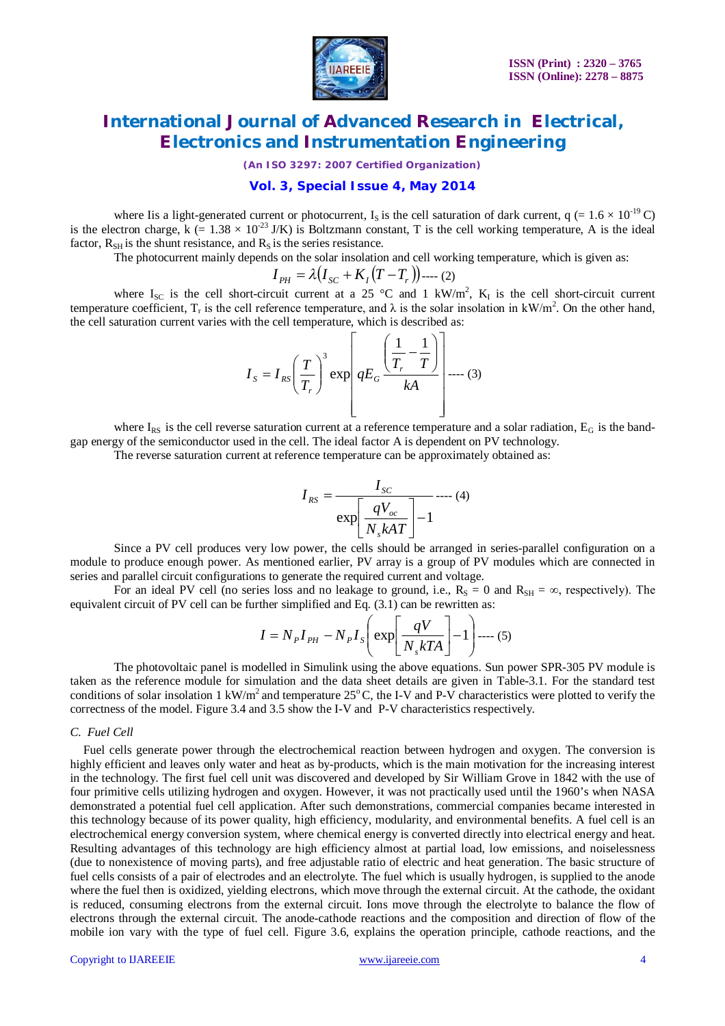

*(An ISO 3297: 2007 Certified Organization)*

### **Vol. 3, Special Issue 4, May 2014**

where Iis a light-generated current or photocurrent, I<sub>s</sub> is the cell saturation of dark current,  $q (= 1.6 \times 10^{-19} \text{ C})$ is the electron charge, k (=  $1.38 \times 10^{-23}$  J/K) is Boltzmann constant, T is the cell working temperature, A is the ideal factor,  $R_{SH}$  is the shunt resistance, and  $R_S$  is the series resistance.

The photocurrent mainly depends on the solar insolation and cell working temperature, which is given as:

$$
I_{PH} = \lambda (I_{SC} + K_I (T - T_r))
$$
--- (2)

where  $I_{SC}$  is the cell short-circuit current at a 25 °C and 1 kW/m<sup>2</sup>, K<sub>I</sub> is the cell short-circuit current temperature coefficient,  $T_r$  is the cell reference temperature, and  $\lambda$  is the solar insolation in kW/m<sup>2</sup>. On the other hand, the cell saturation current varies with the cell temperature, which is described as:

$$
I_{S} = I_{RS} \left(\frac{T}{T_{r}}\right)^{3} \exp\left(qE_{G} \frac{\left(\frac{1}{T_{r}} - \frac{1}{T}\right)}{kA}\right] \dots (3)
$$

where  $I_{RS}$  is the cell reverse saturation current at a reference temperature and a solar radiation,  $E_G$  is the bandgap energy of the semiconductor used in the cell. The ideal factor A is dependent on PV technology.

The reverse saturation current at reference temperature can be approximately obtained as:

$$
I_{RS} = \frac{I_{SC}}{\exp\left[\frac{qV_{oc}}{N_s kAT}\right] - 1} \dots (4)
$$

Since a PV cell produces very low power, the cells should be arranged in series-parallel configuration on a module to produce enough power. As mentioned earlier, PV array is a group of PV modules which are connected in series and parallel circuit configurations to generate the required current and voltage.

For an ideal PV cell (no series loss and no leakage to ground, i.e.,  $R_s = 0$  and  $R_{SH} = \infty$ , respectively). The equivalent circuit of PV cell can be further simplified and Eq. (3.1) can be rewritten as:

$$
I = N_{P}I_{PH} - N_{P}I_{S}\left(\exp\left[\frac{qV}{N_{s}kTA}\right] - 1\right) \cdots (5)
$$

The photovoltaic panel is modelled in Simulink using the above equations. Sun power SPR-305 PV module is taken as the reference module for simulation and the data sheet details are given in Table-3.1. For the standard test conditions of solar insolation 1 kW/m<sup>2</sup> and temperature  $25^{\circ}$ C, the I-V and P-V characteristics were plotted to verify the correctness of the model. Figure 3.4 and 3.5 show the I-V and P-V characteristics respectively.

### *C. Fuel Cell*

Fuel cells generate power through the electrochemical reaction between hydrogen and oxygen. The conversion is highly efficient and leaves only water and heat as by-products, which is the main motivation for the increasing interest in the technology. The first fuel cell unit was discovered and developed by Sir William Grove in 1842 with the use of four primitive cells utilizing hydrogen and oxygen. However, it was not practically used until the 1960's when NASA demonstrated a potential fuel cell application. After such demonstrations, commercial companies became interested in this technology because of its power quality, high efficiency, modularity, and environmental benefits. A fuel cell is an electrochemical energy conversion system, where chemical energy is converted directly into electrical energy and heat. Resulting advantages of this technology are high efficiency almost at partial load, low emissions, and noiselessness (due to nonexistence of moving parts), and free adjustable ratio of electric and heat generation. The basic structure of fuel cells consists of a pair of electrodes and an electrolyte. The fuel which is usually hydrogen, is supplied to the anode where the fuel then is oxidized, yielding electrons, which move through the external circuit. At the cathode, the oxidant is reduced, consuming electrons from the external circuit. Ions move through the electrolyte to balance the flow of electrons through the external circuit. The anode-cathode reactions and the composition and direction of flow of the mobile ion vary with the type of fuel cell. Figure 3.6, explains the operation principle, cathode reactions, and the

### Copyright to IJAREEIE www.ijareeie.com 4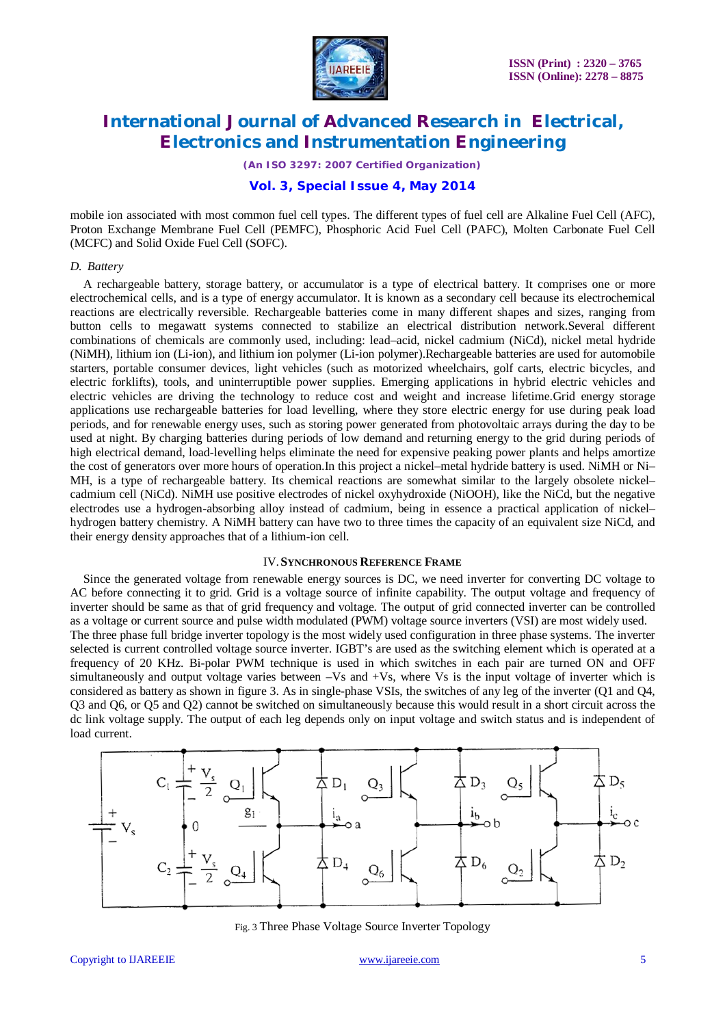

*(An ISO 3297: 2007 Certified Organization)*

### **Vol. 3, Special Issue 4, May 2014**

mobile ion associated with most common fuel cell types. The different types of fuel cell are Alkaline Fuel Cell (AFC), Proton Exchange Membrane Fuel Cell (PEMFC), Phosphoric Acid Fuel Cell (PAFC), Molten Carbonate Fuel Cell (MCFC) and Solid Oxide Fuel Cell (SOFC).

### *D. Battery*

A rechargeable battery, storage battery, or accumulator is a type of electrical battery. It comprises one or more electrochemical cells, and is a type of energy accumulator. It is known as a secondary cell because its electrochemical reactions are electrically reversible. Rechargeable batteries come in many different shapes and sizes, ranging from button cells to megawatt systems connected to stabilize an electrical distribution network.Several different combinations of chemicals are commonly used, including: lead–acid, nickel cadmium (NiCd), nickel metal hydride (NiMH), lithium ion (Li-ion), and lithium ion polymer (Li-ion polymer).Rechargeable batteries are used for automobile starters, portable consumer devices, light vehicles (such as motorized wheelchairs, golf carts, electric bicycles, and electric forklifts), tools, and uninterruptible power supplies. Emerging applications in hybrid electric vehicles and electric vehicles are driving the technology to reduce cost and weight and increase lifetime.Grid energy storage applications use rechargeable batteries for load levelling, where they store electric energy for use during peak load periods, and for renewable energy uses, such as storing power generated from photovoltaic arrays during the day to be used at night. By charging batteries during periods of low demand and returning energy to the grid during periods of high electrical demand, load-levelling helps eliminate the need for expensive peaking power plants and helps amortize the cost of generators over more hours of operation.In this project a nickel–metal hydride battery is used. NiMH or Ni– MH, is a type of rechargeable battery. Its chemical reactions are somewhat similar to the largely obsolete nickel– cadmium cell (NiCd). NiMH use positive electrodes of nickel oxyhydroxide (NiOOH), like the NiCd, but the negative electrodes use a hydrogen-absorbing alloy instead of cadmium, being in essence a practical application of nickel– hydrogen battery chemistry. A NiMH battery can have two to three times the capacity of an equivalent size NiCd, and their energy density approaches that of a lithium-ion cell.

### IV.**SYNCHRONOUS REFERENCE FRAME**

Since the generated voltage from renewable energy sources is DC, we need inverter for converting DC voltage to AC before connecting it to grid. Grid is a voltage source of infinite capability. The output voltage and frequency of inverter should be same as that of grid frequency and voltage. The output of grid connected inverter can be controlled as a voltage or current source and pulse width modulated (PWM) voltage source inverters (VSI) are most widely used. The three phase full bridge inverter topology is the most widely used configuration in three phase systems. The inverter selected is current controlled voltage source inverter. IGBT's are used as the switching element which is operated at a frequency of 20 KHz. Bi-polar PWM technique is used in which switches in each pair are turned ON and OFF simultaneously and output voltage varies between –Vs and +Vs, where Vs is the input voltage of inverter which is considered as battery as shown in figure 3. As in single-phase VSIs, the switches of any leg of the inverter (Q1 and Q4, Q3 and Q6, or Q5 and Q2) cannot be switched on simultaneously because this would result in a short circuit across the dc link voltage supply. The output of each leg depends only on input voltage and switch status and is independent of load current.



Fig. 3 Three Phase Voltage Source Inverter Topology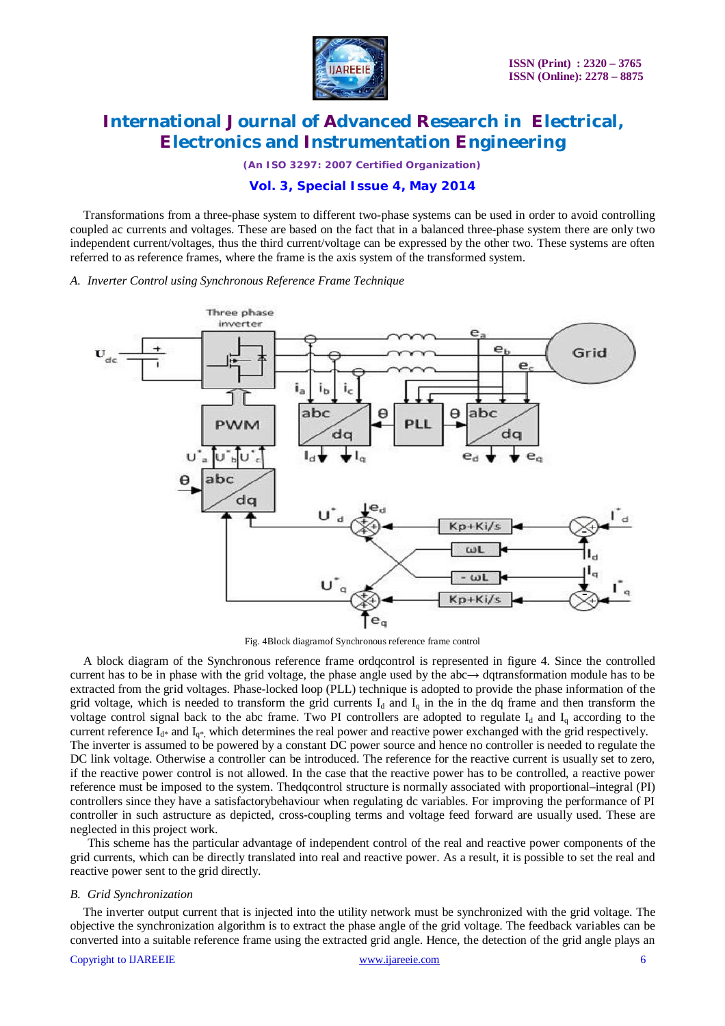

*(An ISO 3297: 2007 Certified Organization)*

### **Vol. 3, Special Issue 4, May 2014**

Transformations from a three-phase system to different two-phase systems can be used in order to avoid controlling coupled ac currents and voltages. These are based on the fact that in a balanced three-phase system there are only two independent current/voltages, thus the third current/voltage can be expressed by the other two. These systems are often referred to as reference frames, where the frame is the axis system of the transformed system.

### *A. Inverter Control using Synchronous Reference Frame Technique*



Fig. 4Block diagramof Synchronous reference frame control

A block diagram of the Synchronous reference frame ordqcontrol is represented in figure 4. Since the controlled current has to be in phase with the grid voltage, the phase angle used by the abc→ dqtransformation module has to be extracted from the grid voltages. Phase-locked loop (PLL) technique is adopted to provide the phase information of the grid voltage, which is needed to transform the grid currents  $I_d$  and  $I_q$  in the in the dq frame and then transform the voltage control signal back to the abc frame. Two PI controllers are adopted to regulate  $I_d$  and  $I_d$  according to the current reference  $I_{d^*}$  and  $I_{q^*}$ , which determines the real power and reactive power exchanged with the grid respectively. The inverter is assumed to be powered by a constant DC power source and hence no controller is needed to regulate the DC link voltage. Otherwise a controller can be introduced. The reference for the reactive current is usually set to zero, if the reactive power control is not allowed. In the case that the reactive power has to be controlled, a reactive power reference must be imposed to the system. Thedqcontrol structure is normally associated with proportional–integral (PI) controllers since they have a satisfactorybehaviour when regulating dc variables. For improving the performance of PI controller in such astructure as depicted, cross-coupling terms and voltage feed forward are usually used. These are neglected in this project work.

This scheme has the particular advantage of independent control of the real and reactive power components of the grid currents, which can be directly translated into real and reactive power. As a result, it is possible to set the real and reactive power sent to the grid directly.

### *B. Grid Synchronization*

The inverter output current that is injected into the utility network must be synchronized with the grid voltage. The objective the synchronization algorithm is to extract the phase angle of the grid voltage. The feedback variables can be converted into a suitable reference frame using the extracted grid angle. Hence, the detection of the grid angle plays an

### Copyright to IJAREEIE www.ijareeie.com 6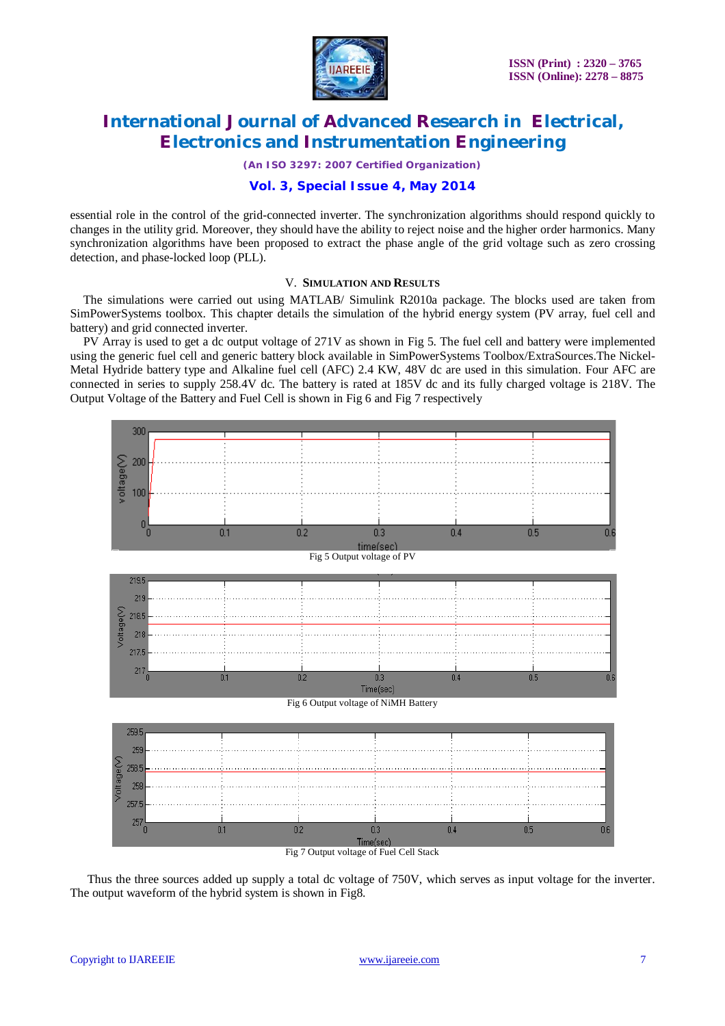

*(An ISO 3297: 2007 Certified Organization)*

### **Vol. 3, Special Issue 4, May 2014**

essential role in the control of the grid-connected inverter. The synchronization algorithms should respond quickly to changes in the utility grid. Moreover, they should have the ability to reject noise and the higher order harmonics. Many synchronization algorithms have been proposed to extract the phase angle of the grid voltage such as zero crossing detection, and phase-locked loop (PLL).

### V. **SIMULATION AND RESULTS**

The simulations were carried out using MATLAB/ Simulink R2010a package. The blocks used are taken from SimPowerSystems toolbox. This chapter details the simulation of the hybrid energy system (PV array, fuel cell and battery) and grid connected inverter.

PV Array is used to get a dc output voltage of 271V as shown in Fig 5. The fuel cell and battery were implemented using the generic fuel cell and generic battery block available in SimPowerSystems Toolbox/ExtraSources.The Nickel-Metal Hydride battery type and Alkaline fuel cell (AFC) 2.4 KW, 48V dc are used in this simulation. Four AFC are connected in series to supply 258.4V dc. The battery is rated at 185V dc and its fully charged voltage is 218V. The Output Voltage of the Battery and Fuel Cell is shown in Fig 6 and Fig 7 respectively



Fig 7 Output voltage of Fuel Cell Stack

Thus the three sources added up supply a total dc voltage of 750V, which serves as input voltage for the inverter. The output waveform of the hybrid system is shown in Fig8.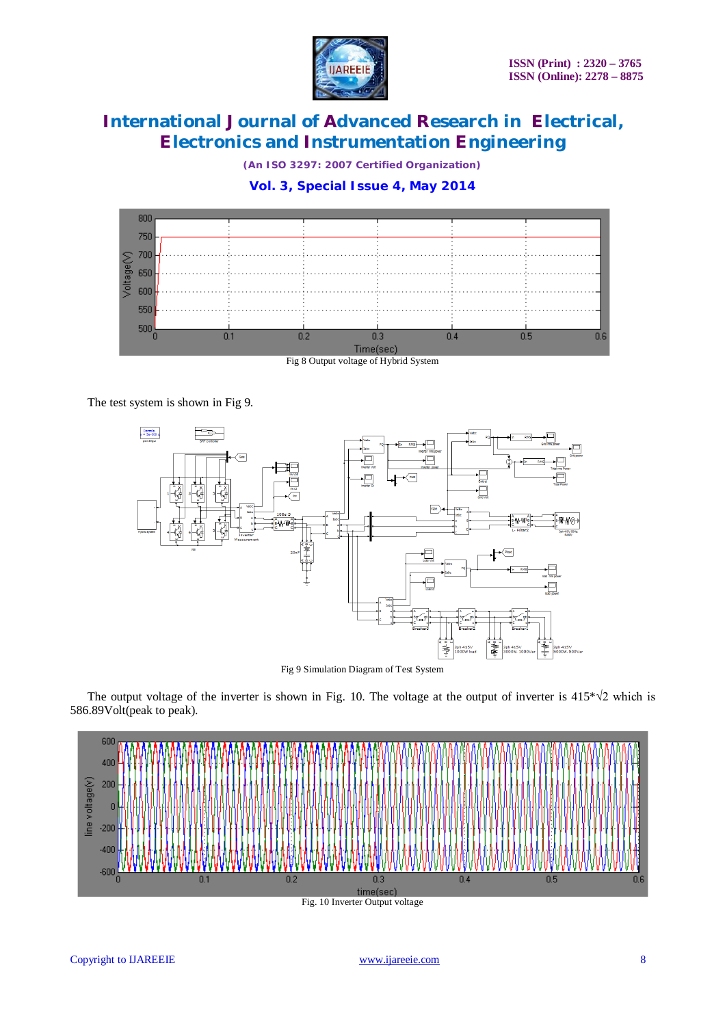

*(An ISO 3297: 2007 Certified Organization)*

### **Vol. 3, Special Issue 4, May 2014**



Fig 8 Output voltage of Hybrid System

The test system is shown in Fig 9.



Fig 9 Simulation Diagram of Test System

The output voltage of the inverter is shown in Fig. 10. The voltage at the output of inverter is 415\*√2 which is 586.89Volt(peak to peak).

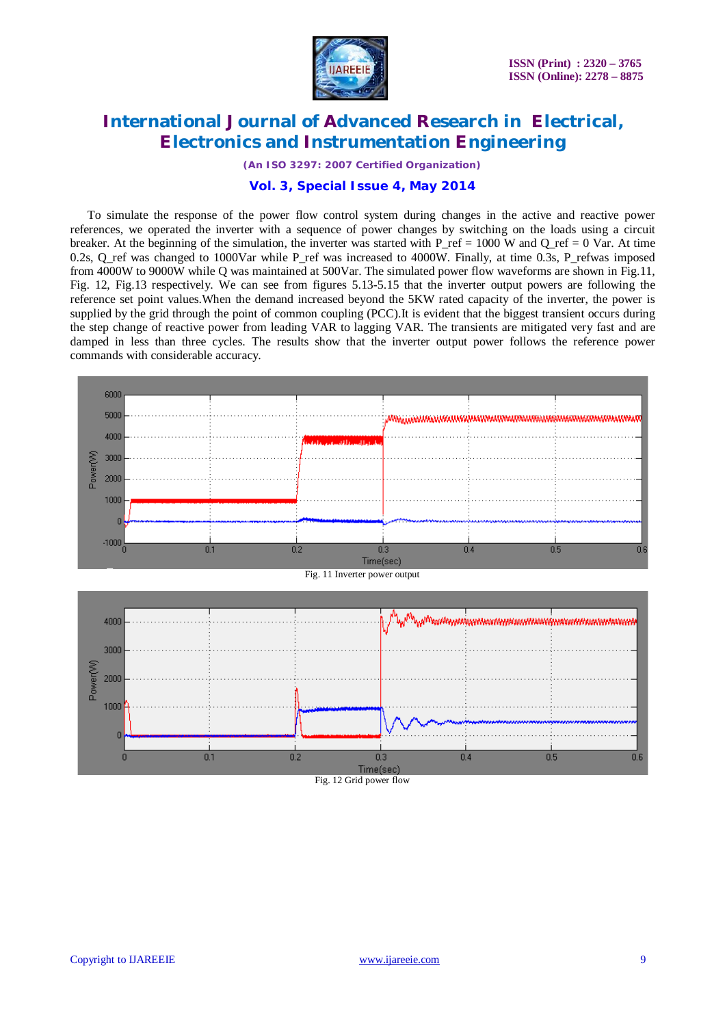

*(An ISO 3297: 2007 Certified Organization)*

### **Vol. 3, Special Issue 4, May 2014**

To simulate the response of the power flow control system during changes in the active and reactive power references, we operated the inverter with a sequence of power changes by switching on the loads using a circuit breaker. At the beginning of the simulation, the inverter was started with  $P_{\text{ref}} = 1000 \text{ W}$  and  $Q_{\text{ref}} = 0 \text{ Var}$ . At time 0.2s, Q\_ref was changed to 1000Var while P\_ref was increased to 4000W. Finally, at time 0.3s, P\_refwas imposed from 4000W to 9000W while Q was maintained at 500Var. The simulated power flow waveforms are shown in Fig.11, Fig. 12, Fig.13 respectively. We can see from figures 5.13-5.15 that the inverter output powers are following the reference set point values.When the demand increased beyond the 5KW rated capacity of the inverter, the power is supplied by the grid through the point of common coupling (PCC).It is evident that the biggest transient occurs during the step change of reactive power from leading VAR to lagging VAR. The transients are mitigated very fast and are damped in less than three cycles. The results show that the inverter output power follows the reference power commands with considerable accuracy.

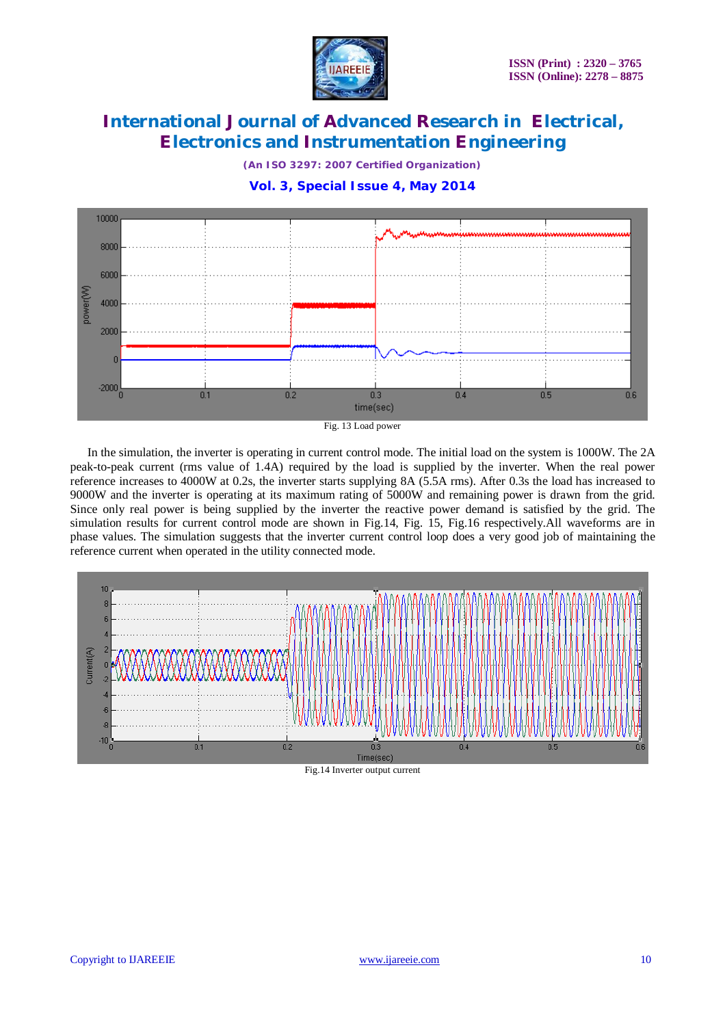

*(An ISO 3297: 2007 Certified Organization)*

**Vol. 3, Special Issue 4, May 2014**



Fig. 13 Load power

In the simulation, the inverter is operating in current control mode. The initial load on the system is 1000W. The 2A peak-to-peak current (rms value of 1.4A) required by the load is supplied by the inverter. When the real power reference increases to 4000W at 0.2s, the inverter starts supplying 8A (5.5A rms). After 0.3s the load has increased to 9000W and the inverter is operating at its maximum rating of 5000W and remaining power is drawn from the grid. Since only real power is being supplied by the inverter the reactive power demand is satisfied by the grid. The simulation results for current control mode are shown in Fig.14, Fig. 15, Fig.16 respectively.All waveforms are in phase values. The simulation suggests that the inverter current control loop does a very good job of maintaining the reference current when operated in the utility connected mode.